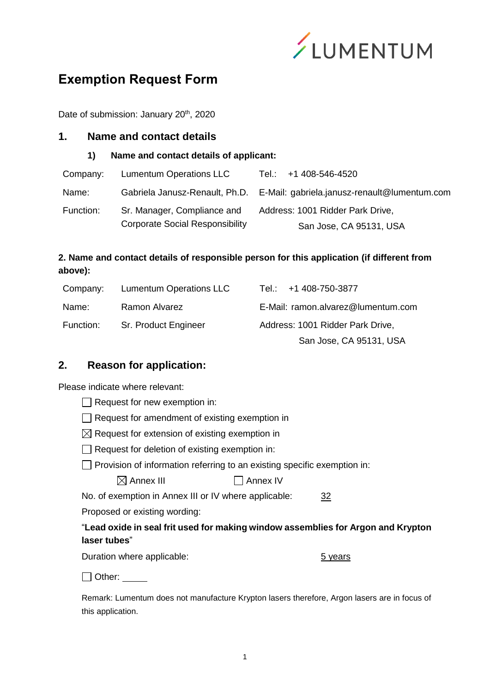

# **Exemption Request Form**

Date of submission: January 20<sup>th</sup>, 2020

#### **1. Name and contact details**

**1) Name and contact details of applicant:**

| Company:  | <b>Lumentum Operations LLC</b>         | Tel.: +1 408-546-4520                                                       |
|-----------|----------------------------------------|-----------------------------------------------------------------------------|
| Name:     |                                        | Gabriela Janusz-Renault, Ph.D. E-Mail: gabriela.janusz-renault@lumentum.com |
| Function: | Sr. Manager, Compliance and            | Address: 1001 Ridder Park Drive,                                            |
|           | <b>Corporate Social Responsibility</b> | San Jose, CA 95131, USA                                                     |

# **2. Name and contact details of responsible person for this application (if different from above):**

| Company:  | <b>Lumentum Operations LLC</b> | Tel.: $+1$ 408-750-3877            |
|-----------|--------------------------------|------------------------------------|
| Name:     | Ramon Alvarez                  | E-Mail: ramon.alvarez@lumentum.com |
| Function: | Sr. Product Engineer           | Address: 1001 Ridder Park Drive,   |
|           |                                | San Jose, CA 95131, USA            |

## **2. Reason for application:**

Please indicate where relevant:

| $\Box$ Request for new exemption in:                       |                                                                                 |
|------------------------------------------------------------|---------------------------------------------------------------------------------|
| $\Box$ Request for amendment of existing exemption in      |                                                                                 |
| $\boxtimes$ Request for extension of existing exemption in |                                                                                 |
| $\Box$ Request for deletion of existing exemption in:      |                                                                                 |
|                                                            | $\Box$ Provision of information referring to an existing specific exemption in: |
| $\boxtimes$ Annex III                                      | Annex IV                                                                        |

No. of exemption in Annex III or IV where applicable: 32

Proposed or existing wording:

#### "**Lead oxide in seal frit used for making window assemblies for Argon and Krypton laser tubes**"

Duration where applicable: 5 years

Other: \_\_\_

Remark: Lumentum does not manufacture Krypton lasers therefore, Argon lasers are in focus of this application.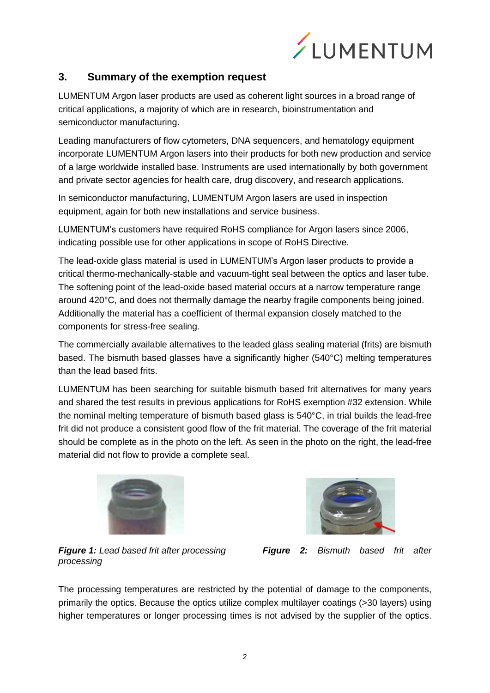

## **3. Summary of the exemption request**

LUMENTUM Argon laser products are used as coherent light sources in a broad range of critical applications, a majority of which are in research, bioinstrumentation and semiconductor manufacturing.

Leading manufacturers of flow cytometers, DNA sequencers, and hematology equipment incorporate LUMENTUM Argon lasers into their products for both new production and service of a large worldwide installed base. Instruments are used internationally by both government and private sector agencies for health care, drug discovery, and research applications.

In semiconductor manufacturing, LUMENTUM Argon lasers are used in inspection equipment, again for both new installations and service business.

LUMENTUM's customers have required RoHS compliance for Argon lasers since 2006, indicating possible use for other applications in scope of RoHS Directive.

The lead-oxide glass material is used in LUMENTUM's Argon laser products to provide a critical thermo-mechanically-stable and vacuum-tight seal between the optics and laser tube. The softening point of the lead-oxide based material occurs at a narrow temperature range around 420°C, and does not thermally damage the nearby fragile components being joined. Additionally the material has a coefficient of thermal expansion closely matched to the components for stress-free sealing.

The commercially available alternatives to the leaded glass sealing material (frits) are bismuth based. The bismuth based glasses have a significantly higher (540°C) melting temperatures than the lead based frits.

LUMENTUM has been searching for suitable bismuth based frit alternatives for many years and shared the test results in previous applications for RoHS exemption #32 extension. While the nominal melting temperature of bismuth based glass is 540°C, in trial builds the lead-free frit did not produce a consistent good flow of the frit material. The coverage of the frit material should be complete as in the photo on the left. As seen in the photo on the right, the lead-free material did not flow to provide a complete seal.



*processing*



*Figure 1: Lead based frit after processing Figure 2: Bismuth based frit after* 

The processing temperatures are restricted by the potential of damage to the components, primarily the optics. Because the optics utilize complex multilayer coatings (>30 layers) using higher temperatures or longer processing times is not advised by the supplier of the optics.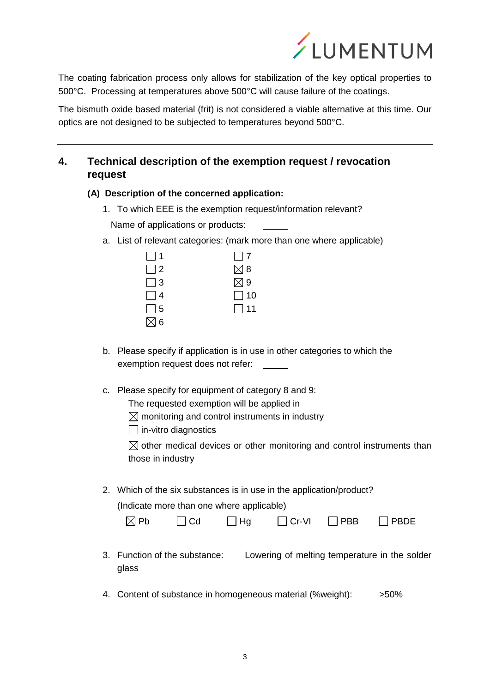

The coating fabrication process only allows for stabilization of the key optical properties to 500°C. Processing at temperatures above 500°C will cause failure of the coatings.

The bismuth oxide based material (frit) is not considered a viable alternative at this time. Our optics are not designed to be subjected to temperatures beyond 500°C.

# **4. Technical description of the exemption request / revocation request**

- **(A) Description of the concerned application:**
	- 1. To which EEE is the exemption request/information relevant?

Name of applications or products:

a. List of relevant categories: (mark more than one where applicable)

| $\Box$ 1      | $\Box$ 7      |
|---------------|---------------|
| $\Box$ 2      | $\boxtimes$ 8 |
| $\Box$ 3      | $\boxtimes$ 9 |
| $\Box$ 4      | $\Box$ 10     |
| $\Box$ 5      | $\Box$ 11     |
| $\boxtimes$ 6 |               |

- b. Please specify if application is in use in other categories to which the exemption request does not refer:
- c. Please specify for equipment of category 8 and 9:
	- The requested exemption will be applied in

 $\boxtimes$  monitoring and control instruments in industry

 $\Box$  in-vitro diagnostics

 $\boxtimes$  other medical devices or other monitoring and control instruments than those in industry

2. Which of the six substances is in use in the application/product?

(Indicate more than one where applicable)

| $\boxtimes$ Pb | $\Box$ Cd | $\Box$ Hg | $\Box$ Cr-VI | $\Box$ PBB | $\Box$ PBDE |
|----------------|-----------|-----------|--------------|------------|-------------|
|----------------|-----------|-----------|--------------|------------|-------------|

- 3. Function of the substance: Lowering of melting temperature in the solder glass
- 4. Content of substance in homogeneous material (%weight): >50%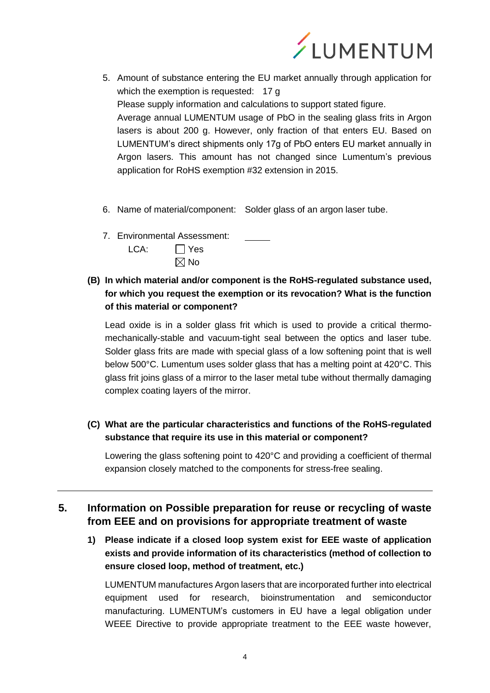

- 5. Amount of substance entering the EU market annually through application for which the exemption is requested: 17 g Please supply information and calculations to support stated figure. Average annual LUMENTUM usage of PbO in the sealing glass frits in Argon lasers is about 200 g. However, only fraction of that enters EU. Based on LUMENTUM's direct shipments only 17g of PbO enters EU market annually in Argon lasers. This amount has not changed since Lumentum's previous application for RoHS exemption #32 extension in 2015.
- 6. Name of material/component: Solder glass of an argon laser tube.
- 7. Environmental Assessment:  $LCA:$   $\Box$  Yes  $\boxtimes$  No

## **(B) In which material and/or component is the RoHS-regulated substance used, for which you request the exemption or its revocation? What is the function of this material or component?**

Lead oxide is in a solder glass frit which is used to provide a critical thermomechanically-stable and vacuum-tight seal between the optics and laser tube. Solder glass frits are made with special glass of a low softening point that is well below 500°C. Lumentum uses solder glass that has a melting point at 420°C. This glass frit joins glass of a mirror to the laser metal tube without thermally damaging complex coating layers of the mirror.

**(C) What are the particular characteristics and functions of the RoHS-regulated substance that require its use in this material or component?**

Lowering the glass softening point to 420°C and providing a coefficient of thermal expansion closely matched to the components for stress-free sealing.

# **5. Information on Possible preparation for reuse or recycling of waste from EEE and on provisions for appropriate treatment of waste**

**1) Please indicate if a closed loop system exist for EEE waste of application exists and provide information of its characteristics (method of collection to ensure closed loop, method of treatment, etc.)**

LUMENTUM manufactures Argon lasers that are incorporated further into electrical equipment used for research, bioinstrumentation and semiconductor manufacturing. LUMENTUM's customers in EU have a legal obligation under WEEE Directive to provide appropriate treatment to the EEE waste however,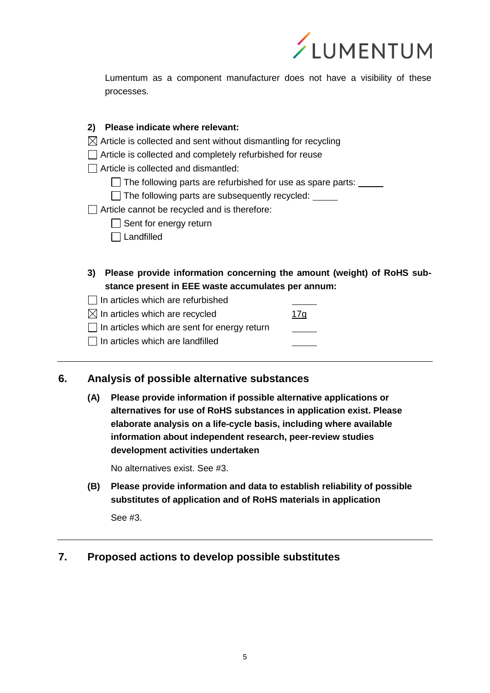

Lumentum as a component manufacturer does not have a visibility of these processes.

#### **2) Please indicate where relevant:**

- $\boxtimes$  Article is collected and sent without dismantling for recycling
- □ Article is collected and completely refurbished for reuse

 $\Box$  Article is collected and dismantled:

- $\Box$  The following parts are refurbished for use as spare parts:
- $\Box$  The following parts are subsequently recycled:

Article cannot be recycled and is therefore:

- $\Box$  Sent for energy return
- □ Landfilled
- **3) Please provide information concerning the amount (weight) of RoHS substance present in EEE waste accumulates per annum:**
- $\Box$  In articles which are refurbished
- $\boxtimes$  In articles which are recycled 17g
- $\Box$  In articles which are sent for energy return
- $\Box$  In articles which are landfilled

## **6. Analysis of possible alternative substances**

**(A) Please provide information if possible alternative applications or alternatives for use of RoHS substances in application exist. Please elaborate analysis on a life-cycle basis, including where available information about independent research, peer-review studies development activities undertaken**

No alternatives exist. See #3.

**(B) Please provide information and data to establish reliability of possible substitutes of application and of RoHS materials in application**

See #3.

## **7. Proposed actions to develop possible substitutes**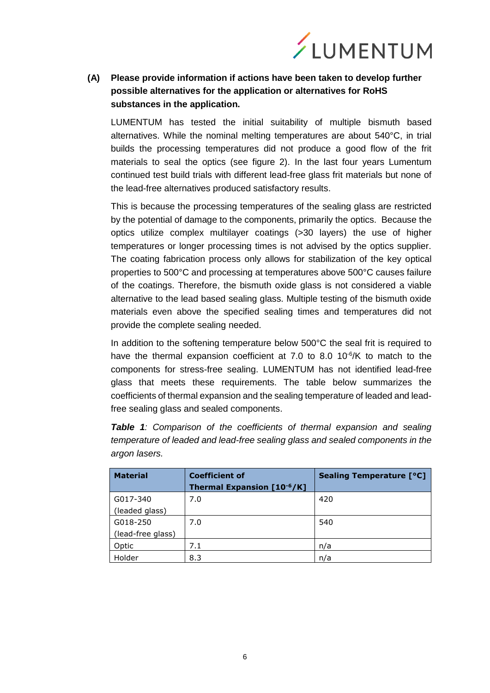

## **(A) Please provide information if actions have been taken to develop further possible alternatives for the application or alternatives for RoHS substances in the application.**

LUMENTUM has tested the initial suitability of multiple bismuth based alternatives. While the nominal melting temperatures are about 540°C, in trial builds the processing temperatures did not produce a good flow of the frit materials to seal the optics (see figure 2). In the last four years Lumentum continued test build trials with different lead-free glass frit materials but none of the lead-free alternatives produced satisfactory results.

This is because the processing temperatures of the sealing glass are restricted by the potential of damage to the components, primarily the optics. Because the optics utilize complex multilayer coatings (>30 layers) the use of higher temperatures or longer processing times is not advised by the optics supplier. The coating fabrication process only allows for stabilization of the key optical properties to 500°C and processing at temperatures above 500°C causes failure of the coatings. Therefore, the bismuth oxide glass is not considered a viable alternative to the lead based sealing glass. Multiple testing of the bismuth oxide materials even above the specified sealing times and temperatures did not provide the complete sealing needed.

In addition to the softening temperature below 500°C the seal frit is required to have the thermal expansion coefficient at 7.0 to 8.0  $10^{-6}$ /K to match to the components for stress-free sealing. LUMENTUM has not identified lead-free glass that meets these requirements. The table below summarizes the coefficients of thermal expansion and the sealing temperature of leaded and leadfree sealing glass and sealed components.

*Table 1: Comparison of the coefficients of thermal expansion and sealing temperature of leaded and lead-free sealing glass and sealed components in the argon lasers.*

| <b>Material</b>   | <b>Coefficient of</b>      | <b>Sealing Temperature [°C]</b> |
|-------------------|----------------------------|---------------------------------|
|                   | Thermal Expansion [10-6/K] |                                 |
| G017-340          | 7.0                        | 420                             |
| (leaded glass)    |                            |                                 |
| G018-250          | 7.0                        | 540                             |
| (lead-free glass) |                            |                                 |
| Optic             | 7.1                        | n/a                             |
| Holder            | 8.3                        | n/a                             |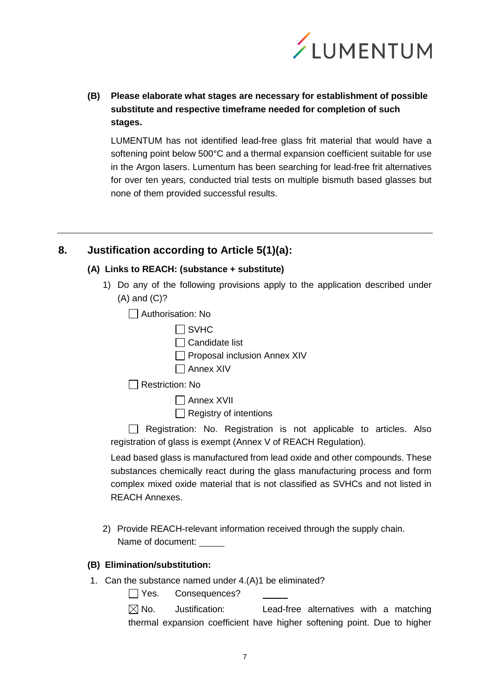

**(B) Please elaborate what stages are necessary for establishment of possible substitute and respective timeframe needed for completion of such stages.**

LUMENTUM has not identified lead-free glass frit material that would have a softening point below 500°C and a thermal expansion coefficient suitable for use in the Argon lasers. Lumentum has been searching for lead-free frit alternatives for over ten years, conducted trial tests on multiple bismuth based glasses but none of them provided successful results.

## **8. Justification according to Article 5(1)(a):**

#### **(A) Links to REACH: (substance + substitute)**

- 1) Do any of the following provisions apply to the application described under (A) and (C)?
	- Authorisation: No
		- $\Box$  SVHC
		- □ Candidate list
		- $\Box$  Proposal inclusion Annex XIV
		- Annex XIV

Restriction: No

Annex XVII

 $\Box$  Registry of intentions

 $\Box$  Registration: No. Registration is not applicable to articles. Also registration of glass is exempt (Annex V of REACH Regulation).

Lead based glass is manufactured from lead oxide and other compounds. These substances chemically react during the glass manufacturing process and form complex mixed oxide material that is not classified as SVHCs and not listed in REACH Annexes.

2) Provide REACH-relevant information received through the supply chain. Name of document:

#### **(B) Elimination/substitution:**

1. Can the substance named under 4.(A)1 be eliminated?

Yes. Consequences?

 $\boxtimes$  No. Justification: Lead-free alternatives with a matching thermal expansion coefficient have higher softening point. Due to higher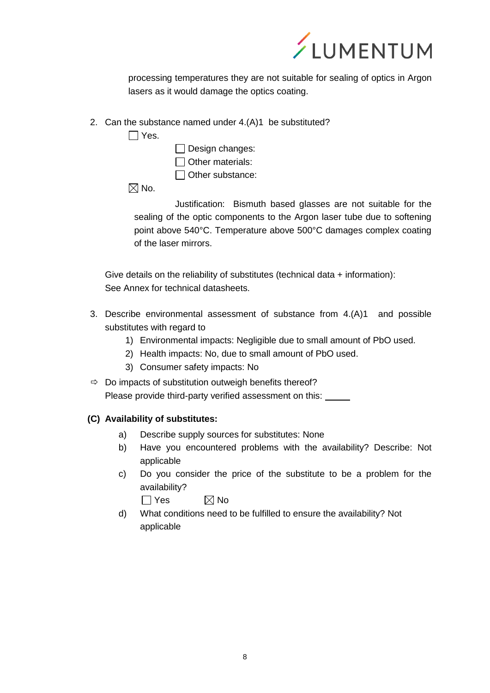

processing temperatures they are not suitable for sealing of optics in Argon lasers as it would damage the optics coating.

- 2. Can the substance named under 4.(A)1 be substituted?
	- $\Box$  Yes.
- $\Box$  Design changes:
- $\Box$  Other materials:
- $\Box$  Other substance:

 $\boxtimes$  No.

Justification: Bismuth based glasses are not suitable for the sealing of the optic components to the Argon laser tube due to softening point above 540°C. Temperature above 500°C damages complex coating of the laser mirrors.

Give details on the reliability of substitutes (technical data + information): See Annex for technical datasheets.

- 3. Describe environmental assessment of substance from 4.(A)1 and possible substitutes with regard to
	- 1) Environmental impacts: Negligible due to small amount of PbO used.
	- 2) Health impacts: No, due to small amount of PbO used.
	- 3) Consumer safety impacts: No
- $\Rightarrow$  Do impacts of substitution outweigh benefits thereof? Please provide third-party verified assessment on this:

#### **(C) Availability of substitutes:**

- a) Describe supply sources for substitutes: None
- b) Have you encountered problems with the availability? Describe: Not applicable
- c) Do you consider the price of the substitute to be a problem for the availability?

 $\Box$  Yes  $\boxtimes$  No

d) What conditions need to be fulfilled to ensure the availability? Not applicable